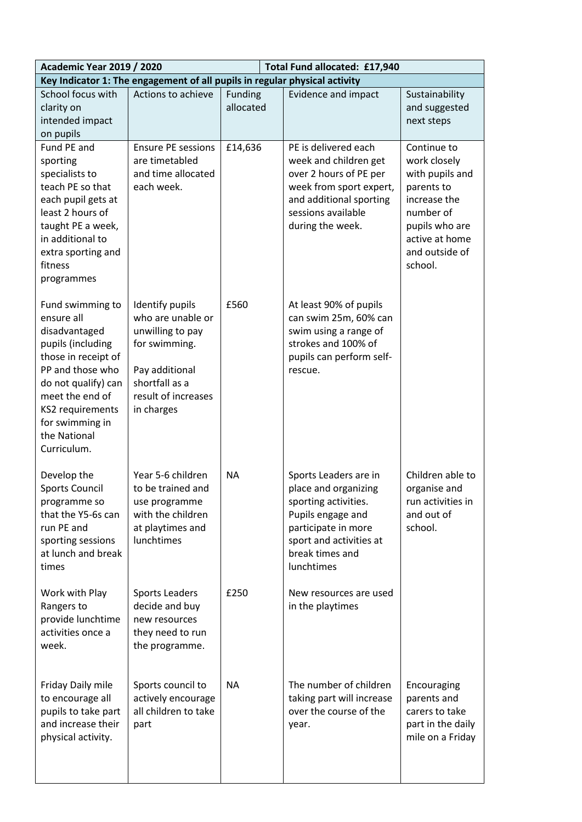| <b>Academic Year 2019 / 2020</b><br>Total Fund allocated: £17,940          |                           |                |                            |                                  |
|----------------------------------------------------------------------------|---------------------------|----------------|----------------------------|----------------------------------|
| Key Indicator 1: The engagement of all pupils in regular physical activity |                           |                |                            |                                  |
| School focus with                                                          | Actions to achieve        | <b>Funding</b> | <b>Evidence and impact</b> | Sustainability                   |
| clarity on                                                                 |                           | allocated      |                            | and suggested                    |
| intended impact                                                            |                           |                |                            | next steps                       |
| on pupils                                                                  |                           |                |                            |                                  |
| Fund PE and                                                                | <b>Ensure PE sessions</b> | £14,636        | PE is delivered each       | Continue to                      |
| sporting                                                                   | are timetabled            |                | week and children get      | work closely                     |
| specialists to                                                             | and time allocated        |                | over 2 hours of PE per     | with pupils and                  |
| teach PE so that                                                           | each week.                |                | week from sport expert,    | parents to                       |
| each pupil gets at                                                         |                           |                | and additional sporting    | increase the                     |
| least 2 hours of                                                           |                           |                | sessions available         | number of                        |
| taught PE a week,                                                          |                           |                | during the week.           | pupils who are                   |
| in additional to                                                           |                           |                |                            | active at home<br>and outside of |
| extra sporting and<br>fitness                                              |                           |                |                            | school.                          |
| programmes                                                                 |                           |                |                            |                                  |
|                                                                            |                           |                |                            |                                  |
| Fund swimming to                                                           | Identify pupils           | £560           | At least 90% of pupils     |                                  |
| ensure all                                                                 | who are unable or         |                | can swim 25m, 60% can      |                                  |
| disadvantaged                                                              | unwilling to pay          |                | swim using a range of      |                                  |
| pupils (including                                                          | for swimming.             |                | strokes and 100% of        |                                  |
| those in receipt of                                                        |                           |                | pupils can perform self-   |                                  |
| PP and those who                                                           | Pay additional            |                | rescue.                    |                                  |
| do not qualify) can                                                        | shortfall as a            |                |                            |                                  |
| meet the end of                                                            | result of increases       |                |                            |                                  |
| KS2 requirements                                                           | in charges                |                |                            |                                  |
| for swimming in                                                            |                           |                |                            |                                  |
| the National                                                               |                           |                |                            |                                  |
| Curriculum.                                                                |                           |                |                            |                                  |
| Develop the                                                                | Year 5-6 children         | <b>NA</b>      | Sports Leaders are in      | Children able to                 |
| <b>Sports Council</b>                                                      | to be trained and         |                | place and organizing       | organise and                     |
| programme so                                                               | use programme             |                | sporting activities.       | run activities in                |
| that the Y5-6s can                                                         | with the children         |                | Pupils engage and          | and out of                       |
| run PE and                                                                 | at playtimes and          |                | participate in more        | school.                          |
| sporting sessions                                                          | lunchtimes                |                | sport and activities at    |                                  |
| at lunch and break                                                         |                           |                | break times and            |                                  |
| times                                                                      |                           |                | lunchtimes                 |                                  |
|                                                                            |                           |                |                            |                                  |
| Work with Play                                                             | <b>Sports Leaders</b>     | £250           | New resources are used     |                                  |
| Rangers to                                                                 | decide and buy            |                | in the playtimes           |                                  |
| provide lunchtime                                                          | new resources             |                |                            |                                  |
| activities once a                                                          | they need to run          |                |                            |                                  |
| week.                                                                      | the programme.            |                |                            |                                  |
|                                                                            |                           |                |                            |                                  |
| Friday Daily mile                                                          | Sports council to         | <b>NA</b>      | The number of children     | Encouraging                      |
| to encourage all                                                           | actively encourage        |                | taking part will increase  | parents and                      |
| pupils to take part                                                        | all children to take      |                | over the course of the     | carers to take                   |
| and increase their                                                         | part                      |                | year.                      | part in the daily                |
| physical activity.                                                         |                           |                |                            | mile on a Friday                 |
|                                                                            |                           |                |                            |                                  |
|                                                                            |                           |                |                            |                                  |
|                                                                            |                           |                |                            |                                  |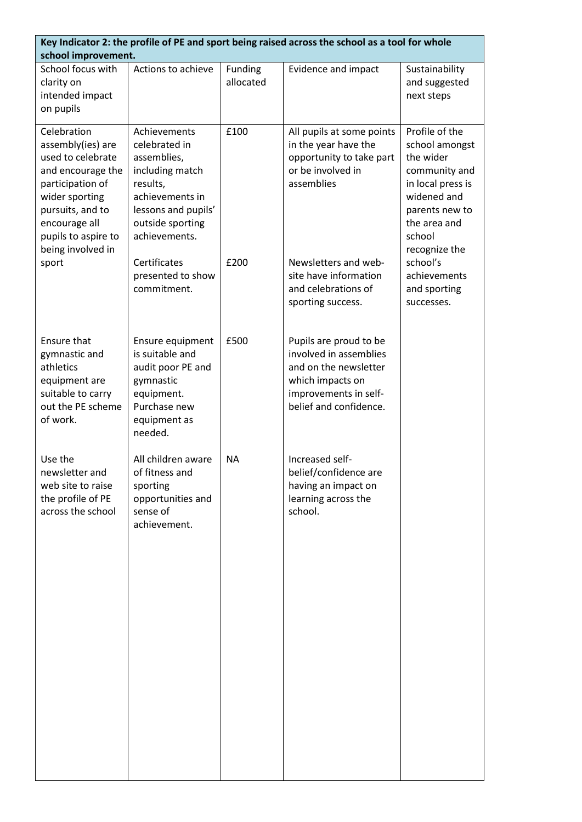| Key Indicator 2: the profile of PE and sport being raised across the school as a tool for whole<br>school improvement.                                                                                     |                                                                                                                                                            |                      |                                                                                                                                                  |                                                                                                                                                                 |
|------------------------------------------------------------------------------------------------------------------------------------------------------------------------------------------------------------|------------------------------------------------------------------------------------------------------------------------------------------------------------|----------------------|--------------------------------------------------------------------------------------------------------------------------------------------------|-----------------------------------------------------------------------------------------------------------------------------------------------------------------|
| School focus with<br>clarity on<br>intended impact<br>on pupils                                                                                                                                            | Actions to achieve                                                                                                                                         | Funding<br>allocated | Evidence and impact                                                                                                                              | Sustainability<br>and suggested<br>next steps                                                                                                                   |
| Celebration<br>assembly(ies) are<br>used to celebrate<br>and encourage the<br>participation of<br>wider sporting<br>pursuits, and to<br>encourage all<br>pupils to aspire to<br>being involved in<br>sport | Achievements<br>celebrated in<br>assemblies,<br>including match<br>results,<br>achievements in<br>lessons and pupils'<br>outside sporting<br>achievements. | £100                 | All pupils at some points<br>in the year have the<br>opportunity to take part<br>or be involved in<br>assemblies                                 | Profile of the<br>school amongst<br>the wider<br>community and<br>in local press is<br>widened and<br>parents new to<br>the area and<br>school<br>recognize the |
|                                                                                                                                                                                                            | Certificates<br>presented to show<br>commitment.                                                                                                           | £200                 | Newsletters and web-<br>site have information<br>and celebrations of<br>sporting success.                                                        | school's<br>achievements<br>and sporting<br>successes.                                                                                                          |
| Ensure that<br>gymnastic and<br>athletics<br>equipment are<br>suitable to carry<br>out the PE scheme<br>of work.                                                                                           | Ensure equipment<br>is suitable and<br>audit poor PE and<br>gymnastic<br>equipment.<br>Purchase new<br>equipment as<br>needed.                             | £500                 | Pupils are proud to be<br>involved in assemblies<br>and on the newsletter<br>which impacts on<br>improvements in self-<br>belief and confidence. |                                                                                                                                                                 |
| Use the<br>newsletter and<br>web site to raise<br>the profile of PE<br>across the school                                                                                                                   | All children aware<br>of fitness and<br>sporting<br>opportunities and<br>sense of<br>achievement.                                                          | <b>NA</b>            | Increased self-<br>belief/confidence are<br>having an impact on<br>learning across the<br>school.                                                |                                                                                                                                                                 |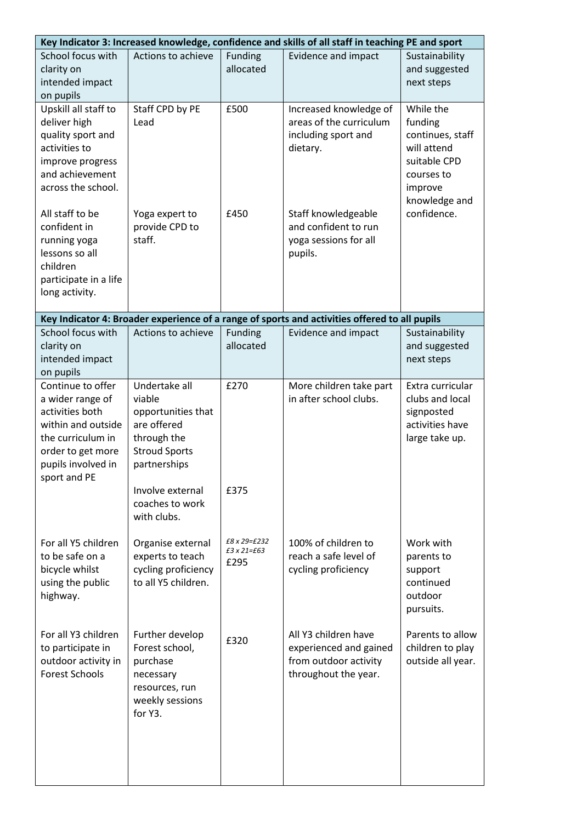| Key Indicator 3: Increased knowledge, confidence and skills of all staff in teaching PE and sport                                                              |                                                                                                                                                                           |                                              |                                                                                                 |                                                                                                                   |
|----------------------------------------------------------------------------------------------------------------------------------------------------------------|---------------------------------------------------------------------------------------------------------------------------------------------------------------------------|----------------------------------------------|-------------------------------------------------------------------------------------------------|-------------------------------------------------------------------------------------------------------------------|
| School focus with<br>clarity on<br>intended impact<br>on pupils                                                                                                | Actions to achieve                                                                                                                                                        | Funding<br>allocated                         | Evidence and impact                                                                             | Sustainability<br>and suggested<br>next steps                                                                     |
| Upskill all staff to<br>deliver high<br>quality sport and<br>activities to<br>improve progress<br>and achievement<br>across the school.                        | Staff CPD by PE<br>Lead                                                                                                                                                   | £500                                         | Increased knowledge of<br>areas of the curriculum<br>including sport and<br>dietary.            | While the<br>funding<br>continues, staff<br>will attend<br>suitable CPD<br>courses to<br>improve<br>knowledge and |
| All staff to be<br>confident in<br>running yoga<br>lessons so all<br>children<br>participate in a life<br>long activity.                                       | Yoga expert to<br>provide CPD to<br>staff.                                                                                                                                | £450                                         | Staff knowledgeable<br>and confident to run<br>yoga sessions for all<br>pupils.                 | confidence.                                                                                                       |
|                                                                                                                                                                |                                                                                                                                                                           |                                              | Key Indicator 4: Broader experience of a range of sports and activities offered to all pupils   |                                                                                                                   |
| School focus with<br>clarity on<br>intended impact<br>on pupils                                                                                                | Actions to achieve                                                                                                                                                        | Funding<br>allocated                         | <b>Evidence and impact</b>                                                                      | Sustainability<br>and suggested<br>next steps                                                                     |
| Continue to offer<br>a wider range of<br>activities both<br>within and outside<br>the curriculum in<br>order to get more<br>pupils involved in<br>sport and PE | Undertake all<br>viable<br>opportunities that<br>are offered<br>through the<br><b>Stroud Sports</b><br>partnerships<br>Involve external<br>coaches to work<br>with clubs. | £270<br>£375                                 | More children take part<br>in after school clubs.                                               | Extra curricular<br>clubs and local<br>signposted<br>activities have<br>large take up.                            |
| For all Y5 children<br>to be safe on a<br>bicycle whilst<br>using the public<br>highway.                                                                       | Organise external<br>experts to teach<br>cycling proficiency<br>to all Y5 children.                                                                                       | £8 x 29=£232<br>$£3 \times 21 = £63$<br>£295 | 100% of children to<br>reach a safe level of<br>cycling proficiency                             | Work with<br>parents to<br>support<br>continued<br>outdoor<br>pursuits.                                           |
| For all Y3 children<br>to participate in<br>outdoor activity in<br><b>Forest Schools</b>                                                                       | Further develop<br>Forest school,<br>purchase<br>necessary<br>resources, run<br>weekly sessions<br>for Y3.                                                                | £320                                         | All Y3 children have<br>experienced and gained<br>from outdoor activity<br>throughout the year. | Parents to allow<br>children to play<br>outside all year.                                                         |